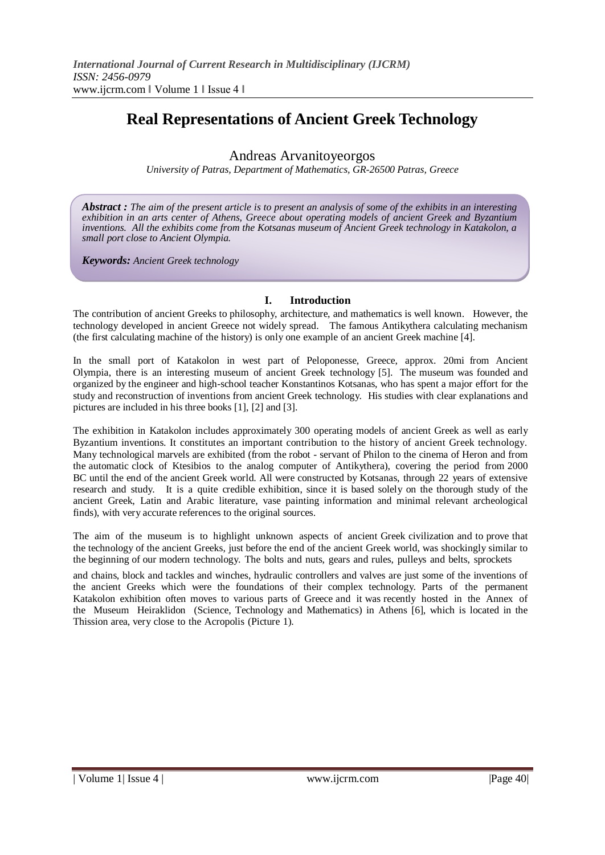# **Real Representations of Ancient Greek Technology**

# Andreas Arvanitoyeorgos

*University of Patras, Department of Mathematics, GR-26500 Patras, Greece*

*Abstract : The aim of the present article is to present an analysis of some of the exhibits in an interesting exhibition in an arts center of Athens, Greece about operating models of ancient Greek and Byzantium inventions. All the exhibits come from the Kotsanas museum of Ancient Greek technology in Katakolon, a small port close to Ancient Olympia.*

*Keywords: Ancient Greek technology*

### **I. Introduction**

The contribution of ancient Greeks to philosophy, architecture, and mathematics is well known. However, the technology developed in ancient Greece not widely spread. The famous Antikythera calculating mechanism (the first calculating machine of the history) is only one example of an ancient Greek machine [4].

In the small port of Katakolon in west part of Peloponesse, Greece, approx. 20mi from Ancient Olympia, there is an interesting museum of ancient Greek technology [5]. The museum was founded and organized by the engineer and high-school teacher Konstantinos Kotsanas, who has spent a major effort for the study and reconstruction of inventions from ancient Greek technology. His studies with clear explanations and pictures are included in his three books [1], [2] and [3].

The exhibition in Katakolon includes approximately 300 operating models of ancient Greek as well as early Byzantium inventions. It constitutes an important contribution to the history of ancient Greek technology. Many technological marvels are exhibited (from the robot - servant of Philon to the cinema of Heron and from the automatic clock of Ktesibios to the analog computer of Antikythera), covering the period from 2000 BC until the end of the ancient Greek world. All were constructed by Kotsanas, through 22 years of extensive research and study. It is a quite credible exhibition, since it is based solely on the thorough study of the ancient Greek, Latin and Arabic literature, vase painting information and minimal relevant archeological finds), with very accurate references to the original sources.

The aim of the museum is to highlight unknown aspects of ancient Greek civilization and to prove that the technology of the ancient Greeks, just before the end of the ancient Greek world, was shockingly similar to the beginning of our modern technology. The bolts and nuts, gears and rules, pulleys and belts, sprockets

and chains, block and tackles and winches, hydraulic controllers and valves are just some of the inventions of the ancient Greeks which were the foundations of their complex technology. Parts of the permanent Katakolon exhibition often moves to various parts of Greece and it was recently hosted in the Annex of the Museum Heiraklidon (Science, Technology and Mathematics) in Athens [6], which is located in the Thission area, very close to the Acropolis (Picture 1).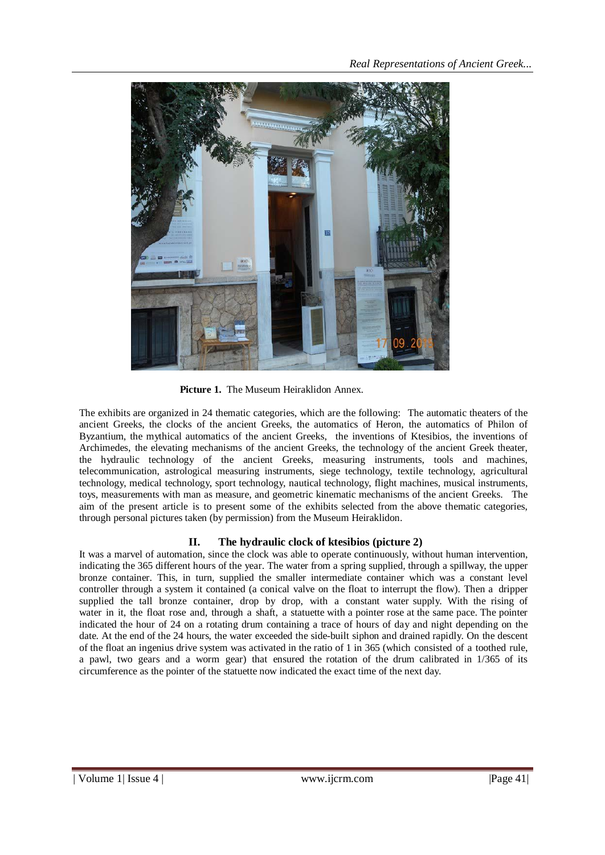

**Picture 1.** The Museum Heiraklidon Annex.

The exhibits are organized in 24 thematic categories, which are the following: The automatic theaters of the ancient Greeks, the clocks of the ancient Greeks, the automatics of Heron, the automatics of Philon of Byzantium, the mythical automatics of the ancient Greeks, the inventions of Ktesibios, the inventions of Archimedes, the elevating mechanisms of the ancient Greeks, the technology of the ancient Greek theater, the hydraulic technology of the ancient Greeks, measuring instruments, tools and machines, telecommunication, astrological measuring instruments, siege technology, textile technology, agricultural technology, medical technology, sport technology, nautical technology, flight machines, musical instruments, toys, measurements with man as measure, and geometric kinematic mechanisms of the ancient Greeks. The aim of the present article is to present some of the exhibits selected from the above thematic categories, through personal pictures taken (by permission) from the Museum Heiraklidon.

# **II. The hydraulic clock of ktesibios (picture 2)**

It was a marvel of automation, since the clock was able to operate continuously, without human intervention, indicating the 365 different hours of the year. The water from a spring supplied, through a spillway, the upper bronze container. This, in turn, supplied the smaller intermediate container which was a constant level controller through a system it contained (a conical valve on the float to interrupt the flow). Then a dripper supplied the tall bronze container, drop by drop, with a constant water supply. With the rising of water in it, the float rose and, through a shaft, a statuette with a pointer rose at the same pace. The pointer indicated the hour of 24 on a rotating drum containing a trace of hours of day and night depending on the date. At the end of the 24 hours, the water exceeded the side-built siphon and drained rapidly. On the descent of the float an ingenius drive system was activated in the ratio of 1 in 365 (which consisted of a toothed rule, a pawl, two gears and a worm gear) that ensured the rotation of the drum calibrated in 1/365 of its circumference as the pointer of the statuette now indicated the exact time of the next day.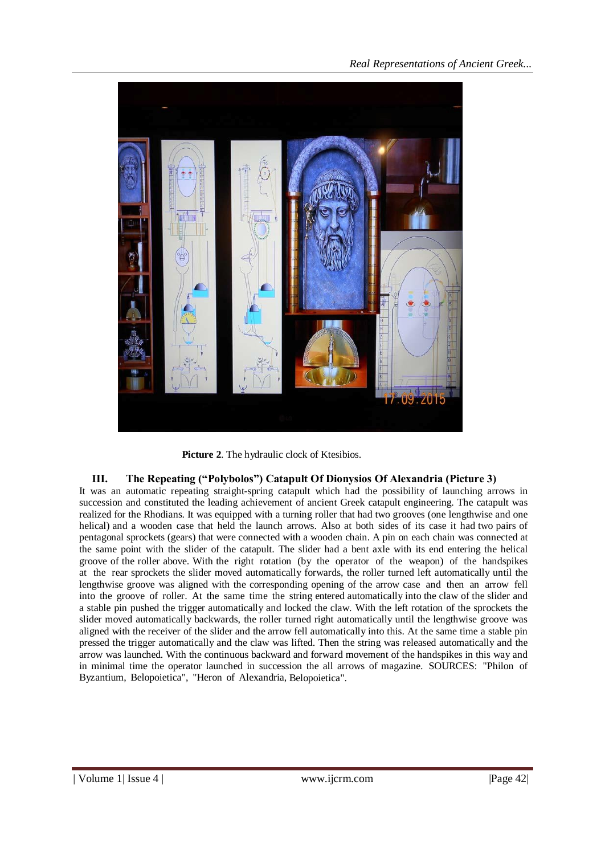

**Picture 2**. The hydraulic clock of Ktesibios.

# **III. The Repeating ("Polybolos") Catapult Of Dionysios Of Alexandria (Picture 3)**

It was an automatic repeating straight-spring catapult which had the possibility of launching arrows in succession and constituted the leading achievement of ancient Greek catapult engineering. The catapult was realized for the Rhodians. It was equipped with a turning roller that had two grooves (one lengthwise and one helical) and a wooden case that held the launch arrows. Also at both sides of its case it had two pairs of pentagonal sprockets (gears) that were connected with a wooden chain. A pin on each chain was connected at the same point with the slider of the catapult. The slider had a bent axle with its end entering the helical groove of the roller above. With the right rotation (by the operator of the weapon) of the handspikes at the rear sprockets the slider moved automatically forwards, the roller turned left automatically until the lengthwise groove was aligned with the corresponding opening of the arrow case and then an arrow fell into the groove of roller. At the same time the string entered automatically into the claw of the slider and a stable pin pushed the trigger automatically and locked the claw. With the left rotation of the sprockets the slider moved automatically backwards, the roller turned right automatically until the lengthwise groove was aligned with the receiver of the slider and the arrow fell automatically into this. At the same time a stable pin pressed the trigger automatically and the claw was lifted. Then the string was released automatically and the arrow was launched. With the continuous backward and forward movement of the handspikes in this way and in minimal time the operator launched in succession the all arrows of magazine. SOURCES: "Philon of Byzantium, Belopoietica", "Heron of Alexandria, Belopoietica".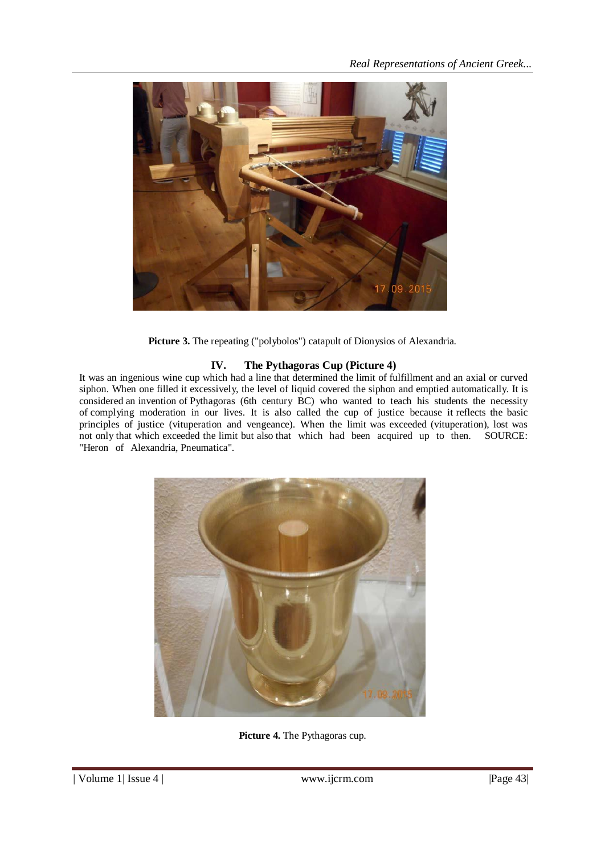

Picture 3. The repeating ("polybolos") catapult of Dionysios of Alexandria.

## **IV. The Pythagoras Cup (Picture 4)**

It was an ingenious wine cup which had a line that determined the limit of fulfillment and an axial or curved siphon. When one filled it excessively, the level of liquid covered the siphon and emptied automatically. It is considered an invention of Pythagoras (6th century BC) who wanted to teach his students the necessity of complying moderation in our lives. It is also called the cup of justice because it reflects the basic principles of justice (vituperation and vengeance). When the limit was exceeded (vituperation), lost was not only that which exceeded the limit but also that which had been acquired up to then. SOURCE: "Heron of Alexandria, Pneumatica".



**Picture 4.** The Pythagoras cup.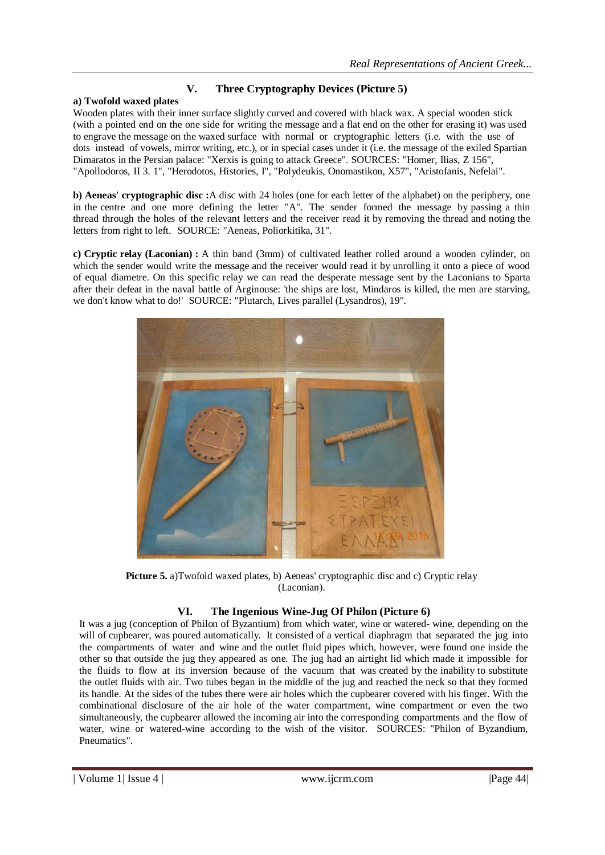# **V. Three Cryptography Devices (Picture 5)**

#### **a) Twofold waxed plates**

Wooden plates with their inner surface slightly curved and covered with black wax. A special wooden stick (with a pointed end on the one side for writing the message and a flat end on the other for erasing it) was used to engrave the message on the waxed surface with normal or cryptographic letters (i.e. with the use of dots instead of vowels, mirror writing, etc.), or in special cases under it (i.e. the message of the exiled Spartian Dimaratos in the Persian palace: "Xerxis is going to attack Greece". SOURCES: "Homer, Ilias, Z 156", "Αpollodoros, ΙΙ 3. 1", "Herodotos, Histories, I", "Polydeukis, Onomastikon, X57", "Αristofanis, Nefelai".

**b) Aeneas' cryptographic disc :**A disc with 24 holes (one for each letter of the alphabet) on the periphery, one in the centre and one more defining the letter "A". The sender formed the message by passing a thin thread through the holes of the relevant letters and the receiver read it by removing the thread and noting the letters from right to left. SOURCE: "Aeneas, Poliorkitika, 31".

**c) Cryptic relay (Laconian) :** A thin band (3mm) of cultivated leather rolled around a wooden cylinder, on which the sender would write the message and the receiver would read it by unrolling it onto a piece of wood of equal diametre. On this specific relay we can read the desperate message sent by the Laconians to Sparta after their defeat in the naval battle of Arginouse: 'the ships are lost, Mindaros is killed, the men are starving, we don't know what to do!' SOURCE: "Plutarch, Lives parallel (Lysandros), 19".



**Picture 5.** a)Twofold waxed plates, b) Aeneas' cryptographic disc and c) Cryptic relay (Laconian).

### **VI. The Ingenious Wine-Jug Of Philon (Picture 6)**

It was a jug (conception of Philon of Byzantium) from which water, wine or watered- wine, depending on the will of cupbearer, was poured automatically. It consisted of a vertical diaphragm that separated the jug into the compartments of water and wine and the outlet fluid pipes which, however, were found one inside the other so that outside the jug they appeared as one. The jug had an airtight lid which made it impossible for the fluids to flow at its inversion because of the vacuum that was created by the inability to substitute the outlet fluids with air. Two tubes began in the middle of the jug and reached the neck so that they formed its handle. At the sides of the tubes there were air holes which the cupbearer covered with his finger. With the combinational disclosure of the air hole of the water compartment, wine compartment or even the two simultaneously, the cupbearer allowed the incoming air into the corresponding compartments and the flow of water, wine or watered-wine according to the wish of the visitor. SOURCES: "Philon of Byzandium, Pneumatics".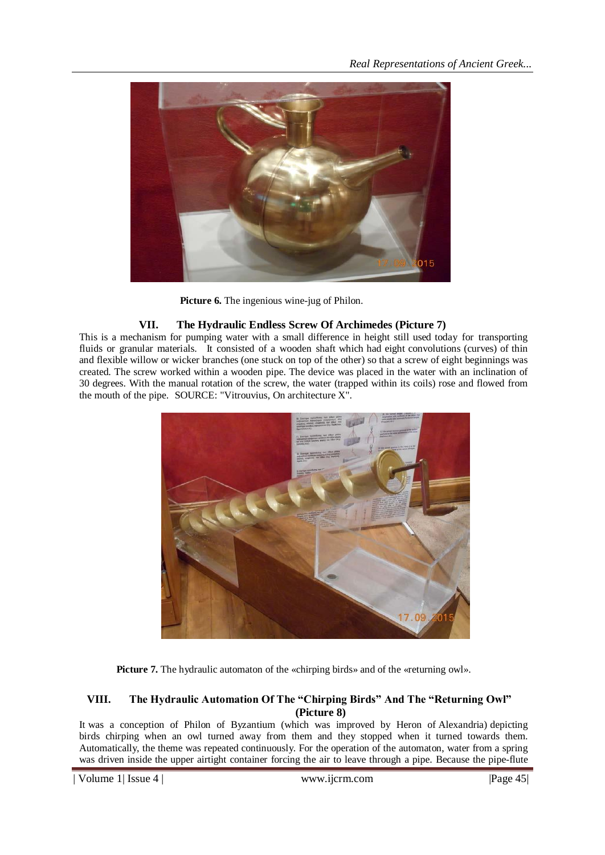

**Picture 6.** The ingenious wine-jug of Philon.

## **VII. The Hydraulic Endless Screw Of Archimedes (Picture 7)**

This is a mechanism for pumping water with a small difference in height still used today for transporting fluids or granular materials. It consisted of a wooden shaft which had eight convolutions (curves) of thin and flexible willow or wicker branches (one stuck on top of the other) so that a screw of eight beginnings was created. The screw worked within a wooden pipe. The device was placed in the water with an inclination of 30 degrees. With the manual rotation of the screw, the water (trapped within its coils) rose and flowed from the mouth of the pipe. SOURCE: "Vitrouvius, On architecture X".



**Picture 7.** The hydraulic automaton of the «chirping birds» and of the «returning owl».

### **VIII. The Hydraulic Automation Of The "Chirping Birds" And The "Returning Owl" (Picture 8)**

It was a conception of Philon of Byzantium (which was improved by Heron of Alexandria) depicting birds chirping when an owl turned away from them and they stopped when it turned towards them. Automatically, the theme was repeated continuously. For the operation of the automaton, water from a spring was driven inside the upper airtight container forcing the air to leave through a pipe. Because the pipe-flute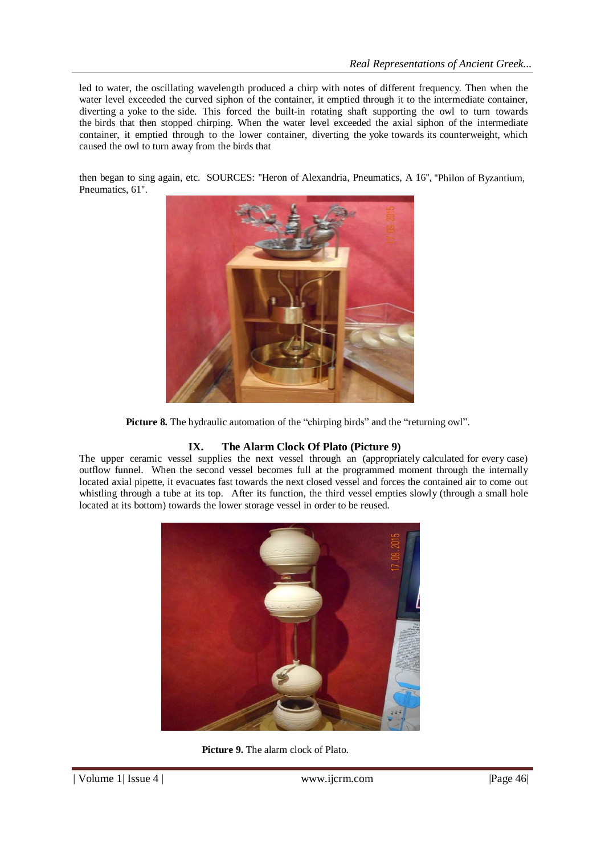led to water, the oscillating wavelength produced a chirp with notes of different frequency. Then when the water level exceeded the curved siphon of the container, it emptied through it to the intermediate container, diverting a yoke to the side. This forced the built-in rotating shaft supporting the owl to turn towards the birds that then stopped chirping. When the water level exceeded the axial siphon of the intermediate container, it emptied through to the lower container, diverting the yoke towards its counterweight, which caused the owl to turn away from the birds that

then began to sing again, etc. SOURCES: "Heron of Alexandria, Pneumatics, A 16", "Philon of Byzantium, Pneumatics, 61''.



**Picture 8.** The hydraulic automation of the "chirping birds" and the "returning owl".

# **IX. The Alarm Clock Of Plato (Picture 9)**

The upper ceramic vessel supplies the next vessel through an (appropriately calculated for every case) outflow funnel. When the second vessel becomes full at the programmed moment through the internally located axial pipette, it evacuates fast towards the next closed vessel and forces the contained air to come out whistling through a tube at its top. After its function, the third vessel empties slowly (through a small hole located at its bottom) towards the lower storage vessel in order to be reused.



**Picture 9.** The alarm clock of Plato.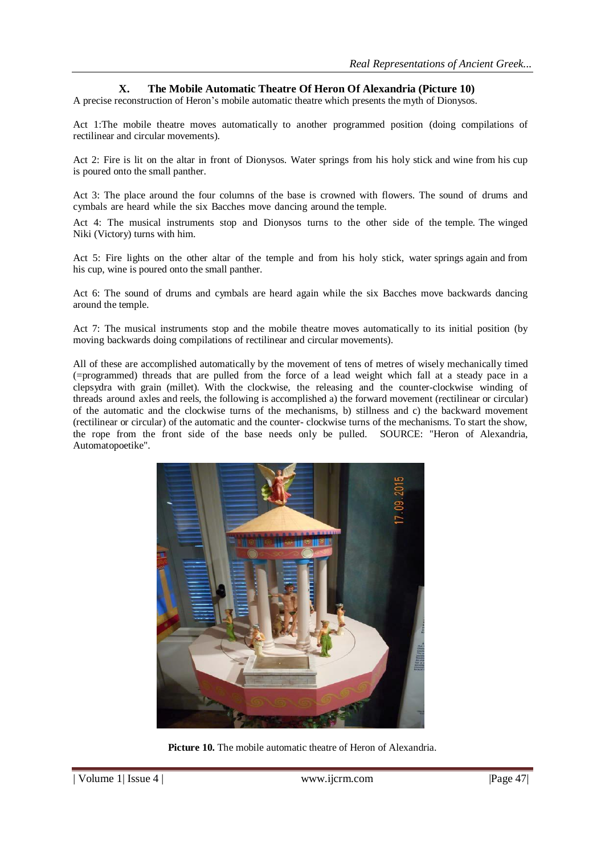#### **X. The Mobile Automatic Theatre Of Heron Of Alexandria (Picture 10)**

A precise reconstruction of Heron's mobile automatic theatre which presents the myth of Dionysos.

Act 1:The mobile theatre moves automatically to another programmed position (doing compilations of rectilinear and circular movements).

Act 2: Fire is lit on the altar in front of Dionysos. Water springs from his holy stick and wine from his cup is poured onto the small panther.

Act 3: The place around the four columns of the base is crowned with flowers. The sound of drums and cymbals are heard while the six Bacches move dancing around the temple.

Act 4: The musical instruments stop and Dionysos turns to the other side of the temple. The winged Niki (Victory) turns with him.

Act 5: Fire lights on the other altar of the temple and from his holy stick, water springs again and from his cup, wine is poured onto the small panther.

Act 6: The sound of drums and cymbals are heard again while the six Bacches move backwards dancing around the temple.

Act 7: The musical instruments stop and the mobile theatre moves automatically to its initial position (by moving backwards doing compilations of rectilinear and circular movements).

All of these are accomplished automatically by the movement of tens of metres of wisely mechanically timed (=programmed) threads that are pulled from the force of a lead weight which fall at a steady pace in a clepsydra with grain (millet). With the clockwise, the releasing and the counter-clockwise winding of threads around axles and reels, the following is accomplished a) the forward movement (rectilinear or circular) of the automatic and the clockwise turns of the mechanisms, b) stillness and c) the backward movement (rectilinear or circular) of the automatic and the counter- clockwise turns of the mechanisms. To start the show, the rope from the front side of the base needs only be pulled. SOURCE: "Heron of Alexandria, Automatopoetike".



**Picture 10.** The mobile automatic theatre of Heron of Alexandria.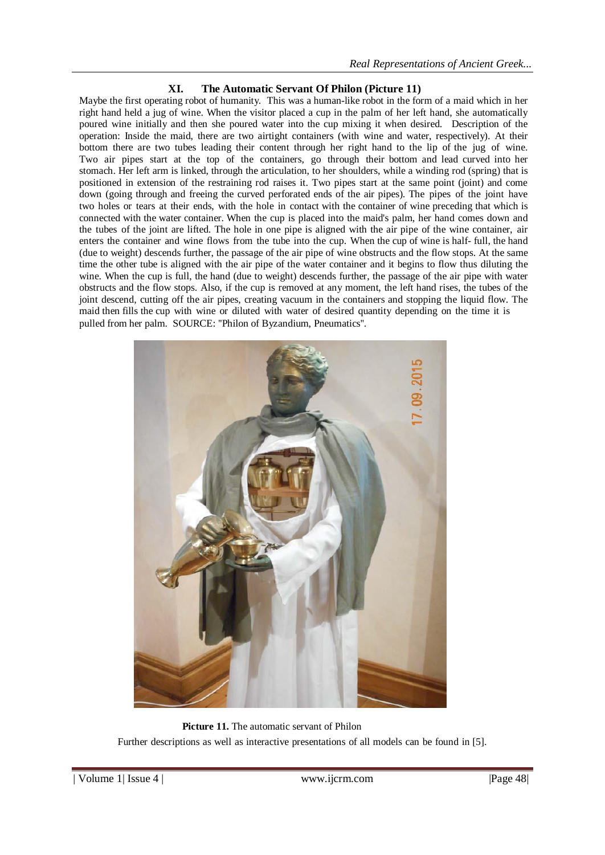### **XI. The Automatic Servant Of Philon (Picture 11)**

Maybe the first operating robot of humanity. This was a human-like robot in the form of a maid which in her right hand held a jug of wine. When the visitor placed a cup in the palm of her left hand, she automatically poured wine initially and then she poured water into the cup mixing it when desired. Description of the operation: Inside the maid, there are two airtight containers (with wine and water, respectively). At their bottom there are two tubes leading their content through her right hand to the lip of the jug of wine. Two air pipes start at the top of the containers, go through their bottom and lead curved into her stomach. Her left arm is linked, through the articulation, to her shoulders, while a winding rod (spring) that is positioned in extension of the restraining rod raises it. Two pipes start at the same point (joint) and come down (going through and freeing the curved perforated ends of the air pipes). The pipes of the joint have two holes or tears at their ends, with the hole in contact with the container of wine preceding that which is connected with the water container. When the cup is placed into the maid's palm, her hand comes down and the tubes of the joint are lifted. The hole in one pipe is aligned with the air pipe of the wine container, air enters the container and wine flows from the tube into the cup. When the cup of wine is half- full, the hand (due to weight) descends further, the passage of the air pipe of wine obstructs and the flow stops. At the same time the other tube is aligned with the air pipe of the water container and it begins to flow thus diluting the wine. When the cup is full, the hand (due to weight) descends further, the passage of the air pipe with water obstructs and the flow stops. Also, if the cup is removed at any moment, the left hand rises, the tubes of the joint descend, cutting off the air pipes, creating vacuum in the containers and stopping the liquid flow. The maid then fills the cup with wine or diluted with water of desired quantity depending on the time it is pulled from her palm. SOURCE: ''Philon of Byzandium, Pneumatics''.



**Picture 11.** The automatic servant of Philon Further descriptions as well as interactive presentations of all models can be found in [5].